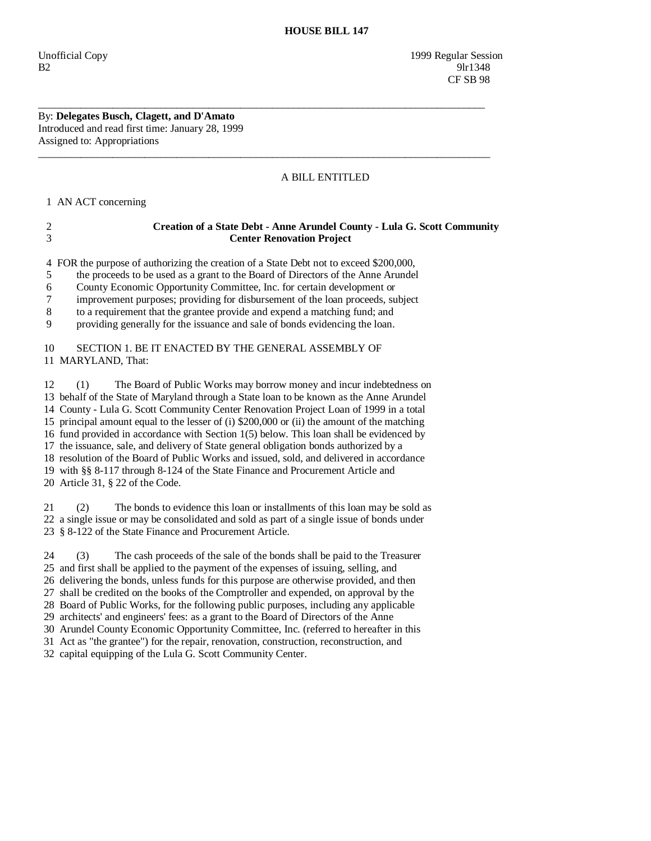Unofficial Copy 1999 Regular Session B2 9lr1348 CF SB 98

### By: **Delegates Busch, Clagett, and D'Amato**  Introduced and read first time: January 28, 1999 Assigned to: Appropriations

# A BILL ENTITLED

1 AN ACT concerning

## 2 **Creation of a State Debt - Anne Arundel County - Lula G. Scott Community**  3 **Center Renovation Project**

4 FOR the purpose of authorizing the creation of a State Debt not to exceed \$200,000,

\_\_\_\_\_\_\_\_\_\_\_\_\_\_\_\_\_\_\_\_\_\_\_\_\_\_\_\_\_\_\_\_\_\_\_\_\_\_\_\_\_\_\_\_\_\_\_\_\_\_\_\_\_\_\_\_\_\_\_\_\_\_\_\_\_\_\_\_\_\_\_\_\_\_\_\_\_\_\_\_\_\_\_\_

 $\overline{\phantom{a}}$  ,  $\overline{\phantom{a}}$  ,  $\overline{\phantom{a}}$  ,  $\overline{\phantom{a}}$  ,  $\overline{\phantom{a}}$  ,  $\overline{\phantom{a}}$  ,  $\overline{\phantom{a}}$  ,  $\overline{\phantom{a}}$  ,  $\overline{\phantom{a}}$  ,  $\overline{\phantom{a}}$  ,  $\overline{\phantom{a}}$  ,  $\overline{\phantom{a}}$  ,  $\overline{\phantom{a}}$  ,  $\overline{\phantom{a}}$  ,  $\overline{\phantom{a}}$  ,  $\overline{\phantom{a}}$ 

5 the proceeds to be used as a grant to the Board of Directors of the Anne Arundel

6 County Economic Opportunity Committee, Inc. for certain development or

7 improvement purposes; providing for disbursement of the loan proceeds, subject

8 to a requirement that the grantee provide and expend a matching fund; and

9 providing generally for the issuance and sale of bonds evidencing the loan.

### 10 SECTION 1. BE IT ENACTED BY THE GENERAL ASSEMBLY OF 11 MARYLAND, That:

 12 (1) The Board of Public Works may borrow money and incur indebtedness on 13 behalf of the State of Maryland through a State loan to be known as the Anne Arundel 14 County - Lula G. Scott Community Center Renovation Project Loan of 1999 in a total 15 principal amount equal to the lesser of (i) \$200,000 or (ii) the amount of the matching 16 fund provided in accordance with Section 1(5) below. This loan shall be evidenced by 17 the issuance, sale, and delivery of State general obligation bonds authorized by a 18 resolution of the Board of Public Works and issued, sold, and delivered in accordance 19 with §§ 8-117 through 8-124 of the State Finance and Procurement Article and 20 Article 31, § 22 of the Code.

 21 (2) The bonds to evidence this loan or installments of this loan may be sold as 22 a single issue or may be consolidated and sold as part of a single issue of bonds under 23 § 8-122 of the State Finance and Procurement Article.

 24 (3) The cash proceeds of the sale of the bonds shall be paid to the Treasurer 25 and first shall be applied to the payment of the expenses of issuing, selling, and 26 delivering the bonds, unless funds for this purpose are otherwise provided, and then 27 shall be credited on the books of the Comptroller and expended, on approval by the 28 Board of Public Works, for the following public purposes, including any applicable 29 architects' and engineers' fees: as a grant to the Board of Directors of the Anne 30 Arundel County Economic Opportunity Committee, Inc. (referred to hereafter in this 31 Act as "the grantee") for the repair, renovation, construction, reconstruction, and

32 capital equipping of the Lula G. Scott Community Center.